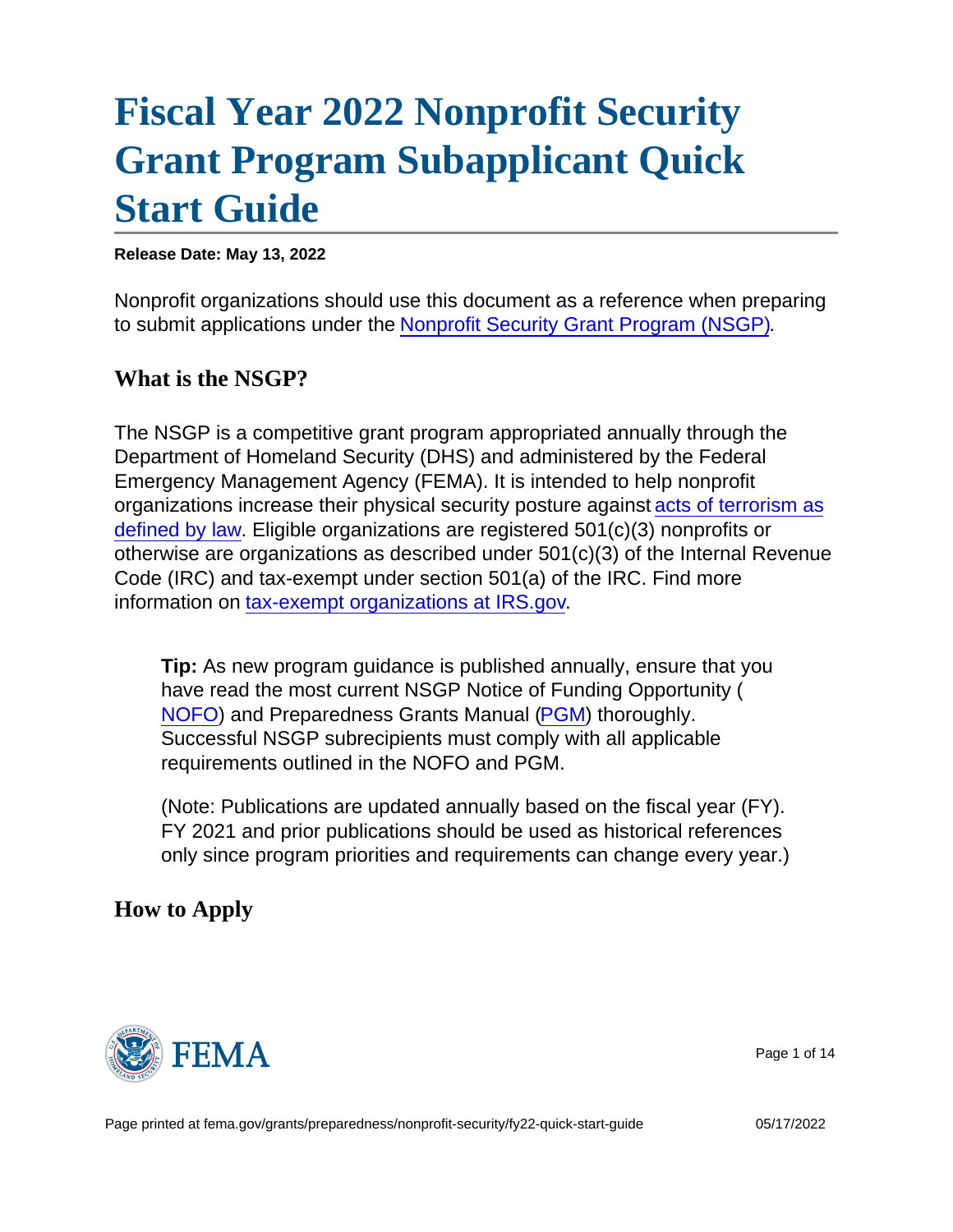# [Fiscal Year 2022 Nonprofit Security](https://edit.fema.gov/grants/preparedness/nonprofit-security/fy22-quick-start-guide) [Grant Program Subapplicant Quick](https://edit.fema.gov/grants/preparedness/nonprofit-security/fy22-quick-start-guide) [Start Guide](https://edit.fema.gov/grants/preparedness/nonprofit-security/fy22-quick-start-guide)

Release Date: May 13, 2022

Nonprofit organizations should use this document as a reference when preparing to submit applications under the [Nonprofit Security Grant Program \(NSGP\)](https://edit.fema.gov/grants/preparedness/nonprofit-security).

What is the NSGP?

The NSGP is a competitive grant program appropriated annually through the Department of Homeland Security (DHS) and administered by the Federal Emergency Management Agency (FEMA). It is intended to help nonprofit organizations increase their physical security posture against acts of terrorism as defined by law. Eligible organizations are registered 501(c)(3) nonprofits or otherwise are organizations as described under 501(c)(3) of the Internal Revenue Code (IRC) and tax-exempt under section 501(a) of the IRC. Find more information on [tax-exempt organizations at IRS.gov](https://www.irs.gov/charities-non-profits/charitable-organizations).

Tip: As new program guidance is published annually, ensure that you have read the most current NSGP Notice of Funding Opportunity ( [NOFO](https://www.fema.gov/grants/preparedness/nonprofit-security/nonprofit-security-grant-program-notices-funding-opportunity)) and Preparedness Grants Manual [\(PGM](https://www.fema.gov/grants/preparedness/manual)) thoroughly. Successful NSGP subrecipients must comply with all applicable requirements outlined in the NOFO and PGM.

(Note: Publications are updated annually based on the fiscal year (FY). FY 2021 and prior publications should be used as historical references only since program priorities and requirements can change every year.)

How to Apply



Page 1 of 14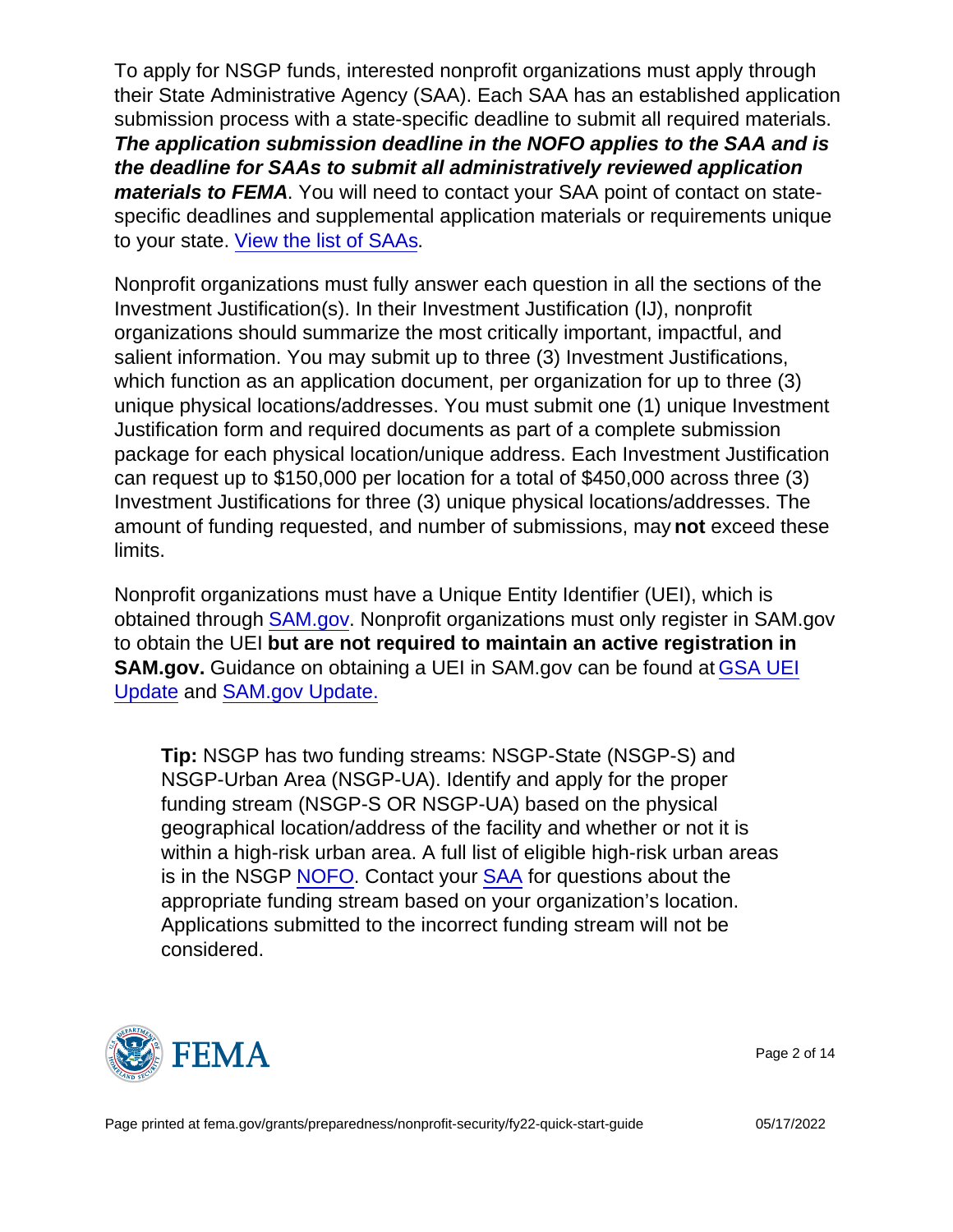To apply for NSGP funds, interested nonprofit organizations must apply through their State Administrative Agency (SAA). Each SAA has an established application submission process with a state-specific deadline to submit all required materials. The application submission deadline in the NOFO applies to the SAA and is the deadline for SAAs to submit all administratively reviewed application materials to FEMA . You will need to contact your SAA point of contact on statespecific deadlines and supplemental application materials or requirements unique to your state. [View the list of SAAs](https://edit.fema.gov/grants/preparedness/state-administrative-agency-contacts).

Nonprofit organizations must fully answer each question in all the sections of the Investment Justification(s). In their Investment Justification (IJ), nonprofit organizations should summarize the most critically important, impactful, and salient information. You may submit up to three (3) Investment Justifications, which function as an application document, per organization for up to three (3) unique physical locations/addresses. You must submit one (1) unique Investment Justification form and required documents as part of a complete submission package for each physical location/unique address. Each Investment Justification can request up to \$150,000 per location for a total of \$450,000 across three (3) Investment Justifications for three (3) unique physical locations/addresses. The amount of funding requested, and number of submissions, may not exceed these limits.

Nonprofit organizations must have a Unique Entity Identifier (UEI), which is obtained through [SAM.gov](https://sam.gov/content/home). Nonprofit organizations must only register in SAM.gov to obtain the UEI but are not required to maintain an active registration in SAM.gov. Guidance on obtaining a UEI in SAM.gov can be found at [GSA UEI](https://www.gsa.gov/about-us/organization/federal-acquisition-service/office-of-systems-management/integrated-award-environment-iae/iae-systems-information-kit/unique-entity-identifier-update) [Update](https://www.gsa.gov/about-us/organization/federal-acquisition-service/office-of-systems-management/integrated-award-environment-iae/iae-systems-information-kit/unique-entity-identifier-update) and [SAM.gov Update.](https://www.gsa.gov/about-us/organization/federal-acquisition-service/office-of-systems-management/integrated-award-environment-iae/iae-systems-information-kit/samgov-update)

Tip: NSGP has two funding streams: NSGP-State (NSGP-S) and NSGP-Urban Area (NSGP-UA). Identify and apply for the proper funding stream (NSGP-S OR NSGP-UA) based on the physical geographical location/address of the facility and whether or not it is within a high-risk urban area. A full list of eligible high-risk urban areas is in the NSGP [NOFO](https://www.fema.gov/grants/preparedness/nonprofit-security/nonprofit-security-grant-program-notices-funding-opportunity). Contact your [SAA](https://www.fema.gov/grants/preparedness/state-administrative-agency-contacts) for questions about the appropriate funding stream based on your organization's location. Applications submitted to the incorrect funding stream will not be considered.



Page 2 of 14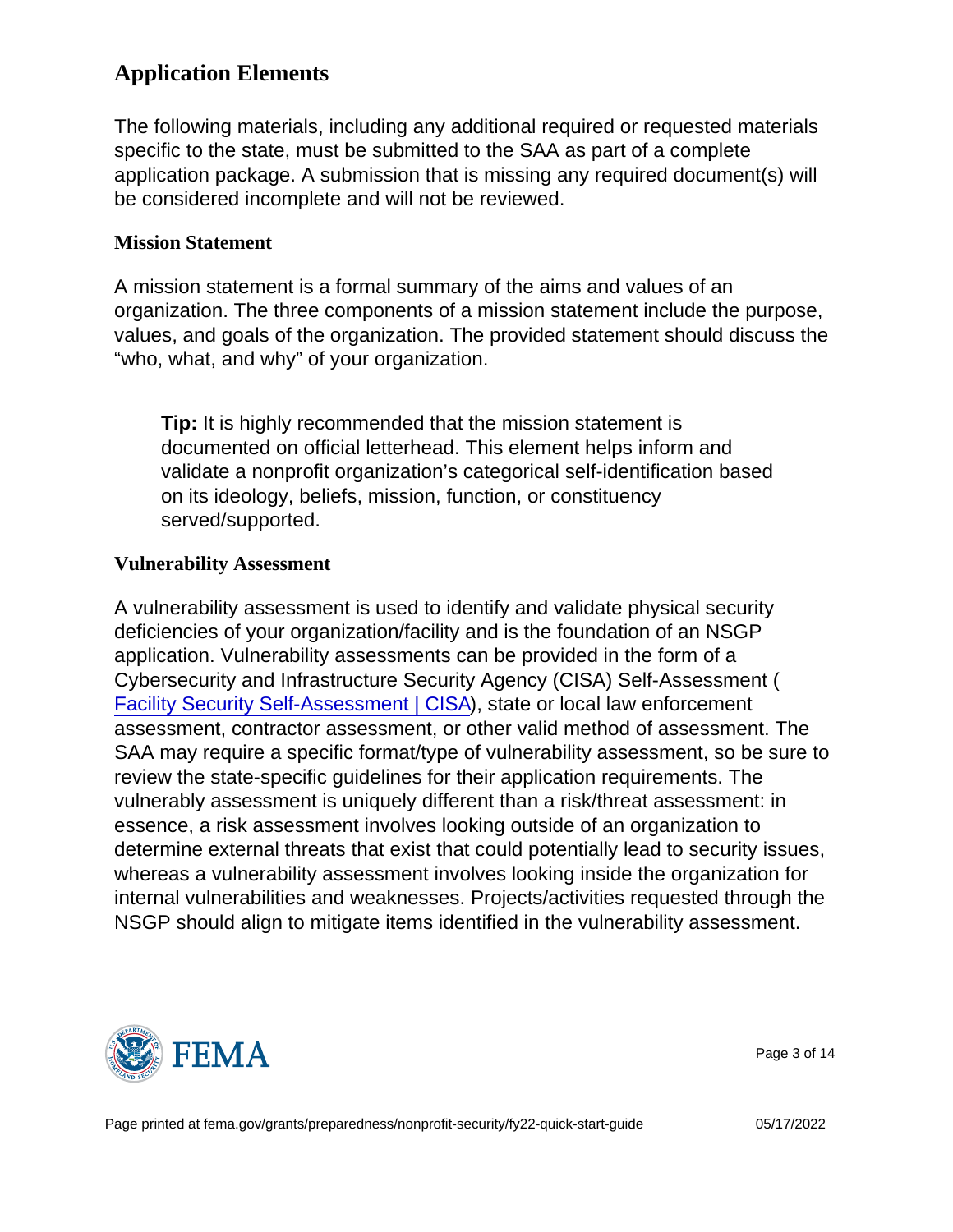# Application Elements

The following materials, including any additional required or requested materials specific to the state, must be submitted to the SAA as part of a complete application package. A submission that is missing any required document(s) will be considered incomplete and will not be reviewed.

### Mission Statement

A mission statement is a formal summary of the aims and values of an organization. The three components of a mission statement include the purpose, values, and goals of the organization. The provided statement should discuss the "who, what, and why" of your organization.

Tip: It is highly recommended that the mission statement is documented on official letterhead. This element helps inform and validate a nonprofit organization's categorical self-identification based on its ideology, beliefs, mission, function, or constituency served/supported.

### Vulnerability Assessment

A vulnerability assessment is used to identify and validate physical security deficiencies of your organization/facility and is the foundation of an NSGP application. Vulnerability assessments can be provided in the form of a Cybersecurity and Infrastructure Security Agency (CISA) Self-Assessment ( [Facility Security Self-Assessment | CISA](https://www.cisa.gov/publication/houses-worship-security-self-assessment)), state or local law enforcement assessment, contractor assessment, or other valid method of assessment. The SAA may require a specific format/type of vulnerability assessment, so be sure to review the state-specific guidelines for their application requirements. The vulnerably assessment is uniquely different than a risk/threat assessment: in essence, a risk assessment involves looking outside of an organization to determine external threats that exist that could potentially lead to security issues, whereas a vulnerability assessment involves looking inside the organization for internal vulnerabilities and weaknesses. Projects/activities requested through the NSGP should align to mitigate items identified in the vulnerability assessment.



Page 3 of 14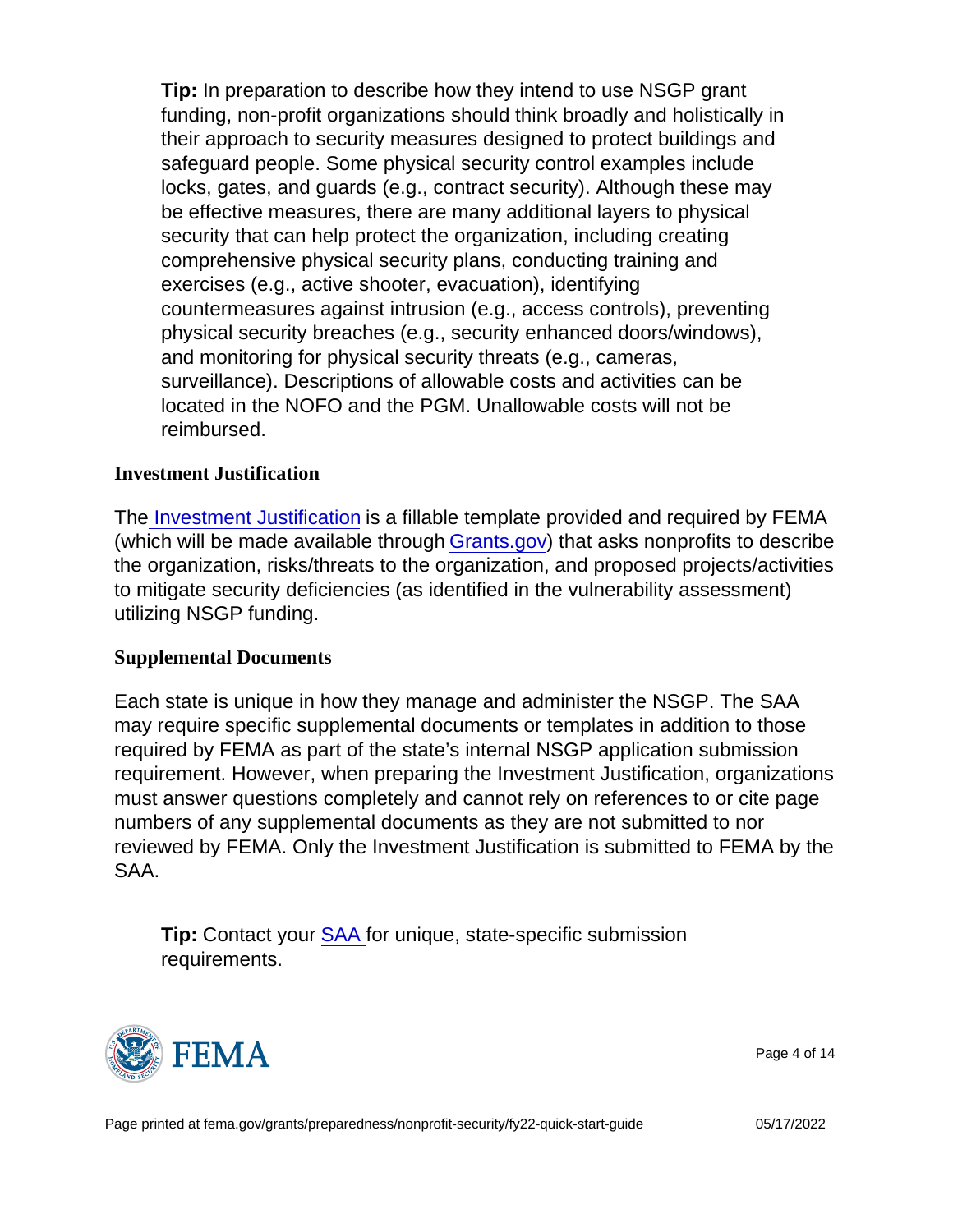Tip: In preparation to describe how they intend to use NSGP grant funding, non-profit organizations should think broadly and holistically in their approach to security measures designed to protect buildings and safeguard people. Some physical security control examples include locks, gates, and guards (e.g., contract security). Although these may be effective measures, there are many additional layers to physical security that can help protect the organization, including creating comprehensive physical security plans, conducting training and exercises (e.g., active shooter, evacuation), identifying countermeasures against intrusion (e.g., access controls), preventing physical security breaches (e.g., security enhanced doors/windows), and monitoring for physical security threats (e.g., cameras, surveillance). Descriptions of allowable costs and activities can be located in the NOFO and the PGM. Unallowable costs will not be reimbursed.

## Investment Justification

Th[e Investment Justification](https://edit.fema.gov/sites/default/files/documents/fema_fy-22-nsgp-investment-justification.pdf) is a fillable template provided and required by FEMA (which will be made available through [Grants.gov](https://www.grants.gov/)) that asks nonprofits to describe the organization, risks/threats to the organization, and proposed projects/activities to mitigate security deficiencies (as identified in the vulnerability assessment) utilizing NSGP funding.

#### Supplemental Documents

Each state is unique in how they manage and administer the NSGP. The SAA may require specific supplemental documents or templates in addition to those required by FEMA as part of the state's internal NSGP application submission requirement. However, when preparing the Investment Justification, organizations must answer questions completely and cannot rely on references to or cite page numbers of any supplemental documents as they are not submitted to nor reviewed by FEMA. Only the Investment Justification is submitted to FEMA by the SAA.

Tip: Contact your [SAA](https://edit.fema.gov/grants/preparedness/state-administrative-agency-contacts) for unique, state-specific submission requirements.



Page 4 of 14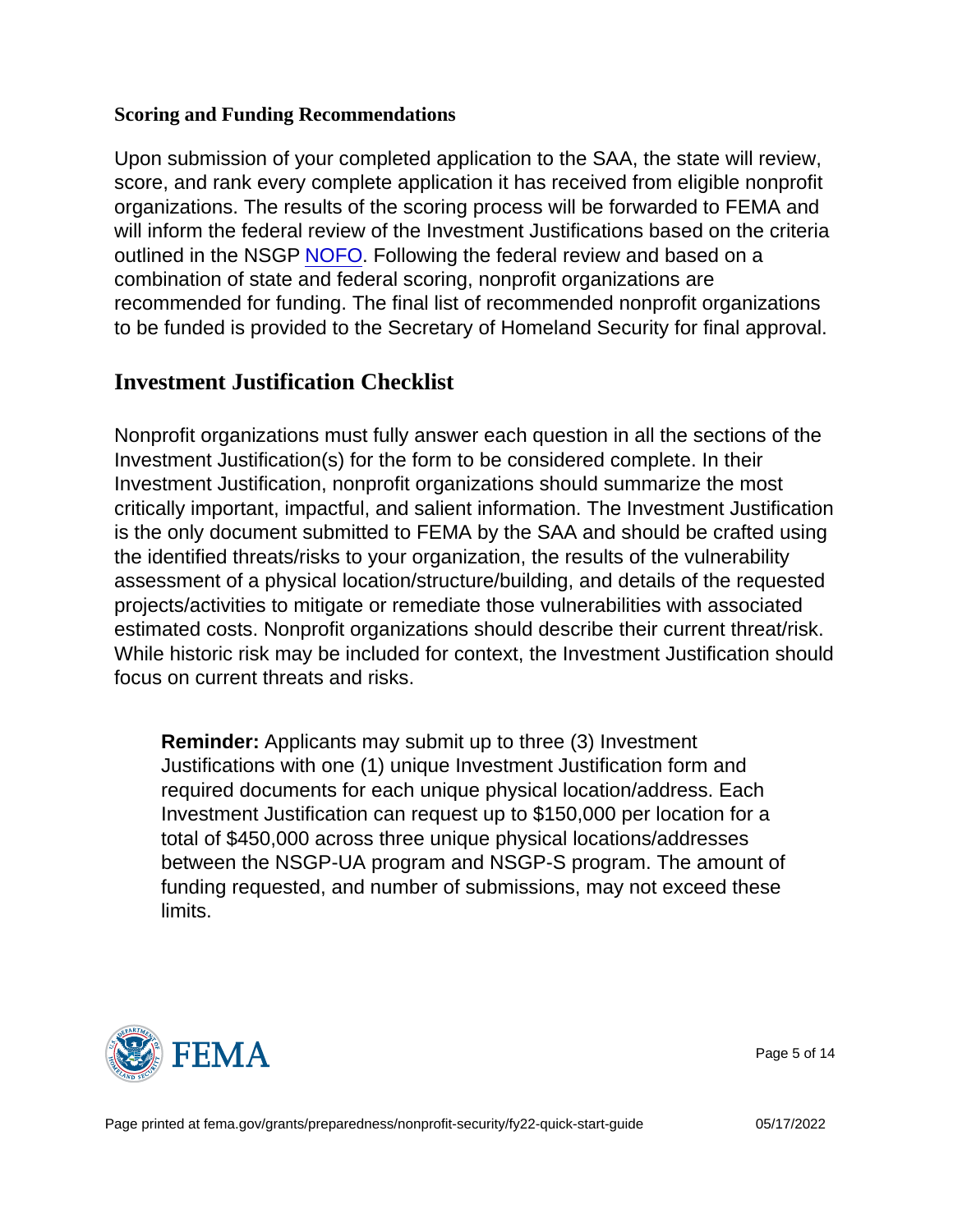## Scoring and Funding Recommendations

Upon submission of your completed application to the SAA, the state will review, score, and rank every complete application it has received from eligible nonprofit organizations. The results of the scoring process will be forwarded to FEMA and will inform the federal review of the Investment Justifications based on the criteria outlined in the NSGP [NOFO.](https://edit.fema.gov/grants/preparedness/nonprofit-security/nonprofit-security-grant-program-notices-funding-opportunity) Following the federal review and based on a combination of state and federal scoring, nonprofit organizations are recommended for funding. The final list of recommended nonprofit organizations to be funded is provided to the Secretary of Homeland Security for final approval.

# Investment Justification Checklist

Nonprofit organizations must fully answer each question in all the sections of the Investment Justification(s) for the form to be considered complete. In their Investment Justification, nonprofit organizations should summarize the most critically important, impactful, and salient information. The Investment Justification is the only document submitted to FEMA by the SAA and should be crafted using the identified threats/risks to your organization, the results of the vulnerability assessment of a physical location/structure/building, and details of the requested projects/activities to mitigate or remediate those vulnerabilities with associated estimated costs. Nonprofit organizations should describe their current threat/risk. While historic risk may be included for context, the Investment Justification should focus on current threats and risks.

Reminder: Applicants may submit up to three (3) Investment Justifications with one (1) unique Investment Justification form and required documents for each unique physical location/address. Each Investment Justification can request up to \$150,000 per location for a total of \$450,000 across three unique physical locations/addresses between the NSGP-UA program and NSGP-S program. The amount of funding requested, and number of submissions, may not exceed these limits.



Page 5 of 14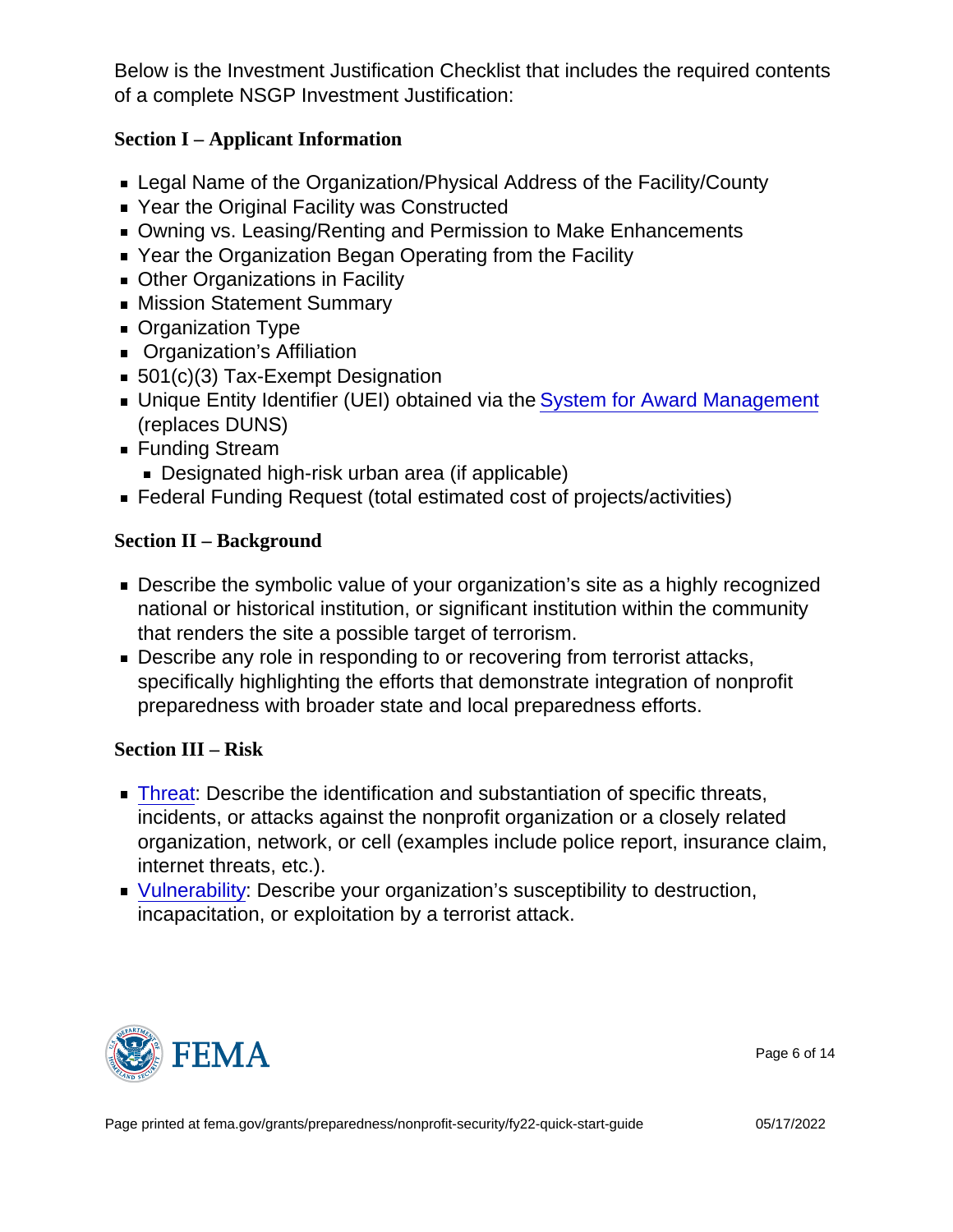Below is the Investment Justification Checklist that includes the required contents of a complete NSGP Investment Justification:

Section I – Applicant Information

- Legal Name of the Organization/Physical Address of the Facility/County
- Year the Original Facility was Constructed
- Owning vs. Leasing/Renting and Permission to Make Enhancements
- Year the Organization Began Operating from the Facility
- **Deal** Other Organizations in Facility
- **Mission Statement Summary**
- Organization Type
- **Organization's Affiliation**
- 501(c)(3) Tax-Exempt Designation
- **Unique Entity Identifier (UEI) obtained via the [System for Award Management](https://sam.gov/content/home)** (replaces DUNS)
- Funding Stream
	- **Designated high-risk urban area (if applicable)**
- Federal Funding Request (total estimated cost of projects/activities)

Section II – Background

- **Describe the symbolic value of your organization's site as a highly recognized** national or historical institution, or significant institution within the community that renders the site a possible target of terrorism.
- **Describe any role in responding to or recovering from terrorist attacks,** specifically highlighting the efforts that demonstrate integration of nonprofit preparedness with broader state and local preparedness efforts.

Section III – Risk

- **Threat:** Describe the identification and substantiation of specific threats, incidents, or attacks against the nonprofit organization or a closely related organization, network, or cell (examples include police report, insurance claim, internet threats, etc.).
- **Vulnerability: Describe your organization's susceptibility to destruction,** incapacitation, or exploitation by a terrorist attack.



Page 6 of 14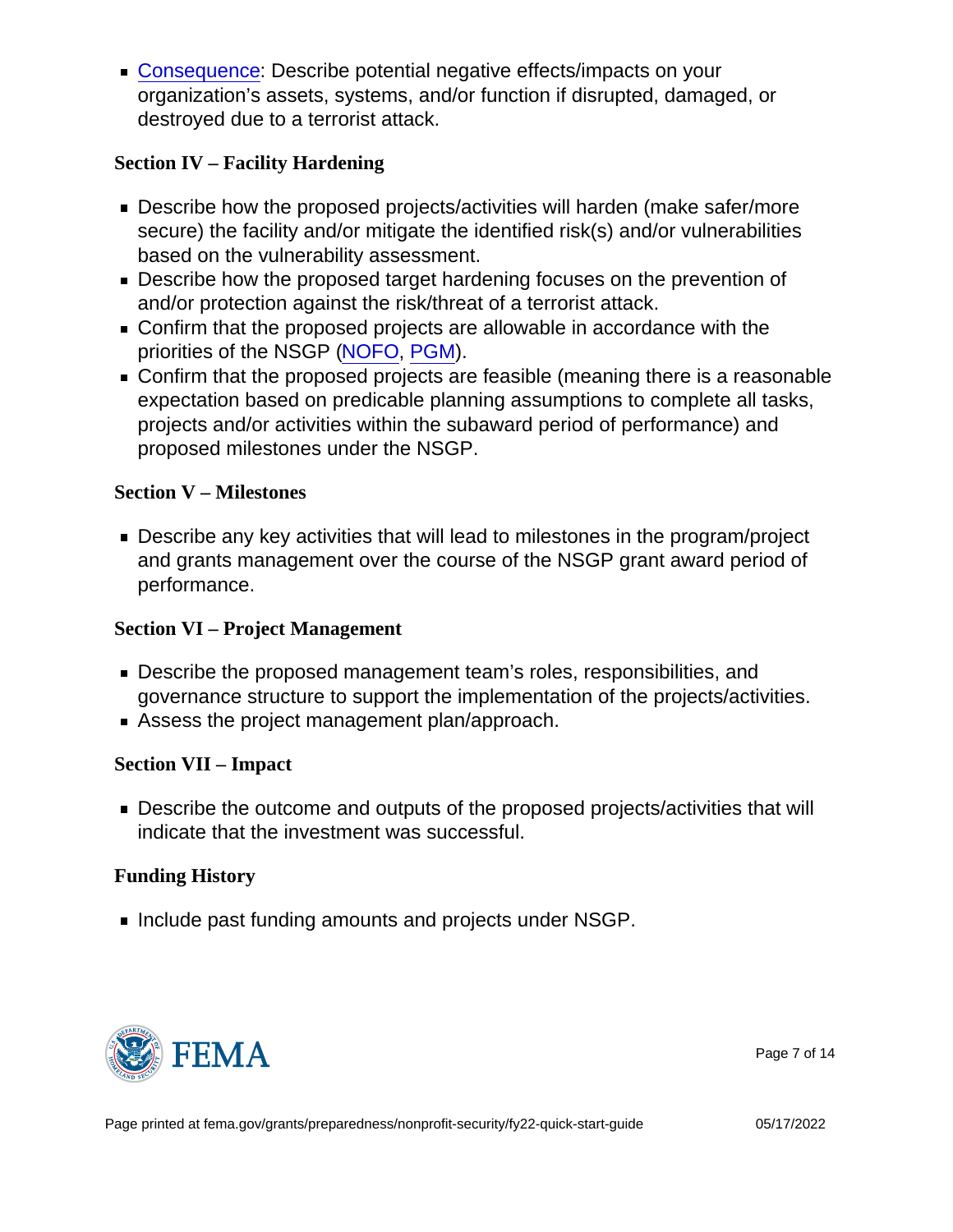■ Consequence: Describe potential negative effects/impacts on your organization's assets, systems, and/or function if disrupted, damaged, or destroyed due to a terrorist attack.

Section IV – Facility Hardening

- Describe how the proposed projects/activities will harden (make safer/more secure) the facility and/or mitigate the identified risk(s) and/or vulnerabilities based on the vulnerability assessment.
- **Describe how the proposed target hardening focuses on the prevention of** and/or protection against the risk/threat of a terrorist attack.
- Confirm that the proposed projects are allowable in accordance with the priorities of the NSGP [\(NOFO](https://www.fema.gov/grants/preparedness/nonprofit-security/nonprofit-security-grant-program-notices-funding-opportunity), [PGM\)](https://www.fema.gov/grants/preparedness/manual).
- Confirm that the proposed projects are feasible (meaning there is a reasonable expectation based on predicable planning assumptions to complete all tasks, projects and/or activities within the subaward period of performance) and proposed milestones under the NSGP.

Section V – Milestones

Describe any key activities that will lead to milestones in the program/project and grants management over the course of the NSGP grant award period of performance.

Section VI – Project Management

- Describe the proposed management team's roles, responsibilities, and governance structure to support the implementation of the projects/activities.
- Assess the project management plan/approach.

Section VII – Impact

**Describe the outcome and outputs of the proposed projects/activities that will** indicate that the investment was successful.

Funding History

Include past funding amounts and projects under NSGP.



Page 7 of 14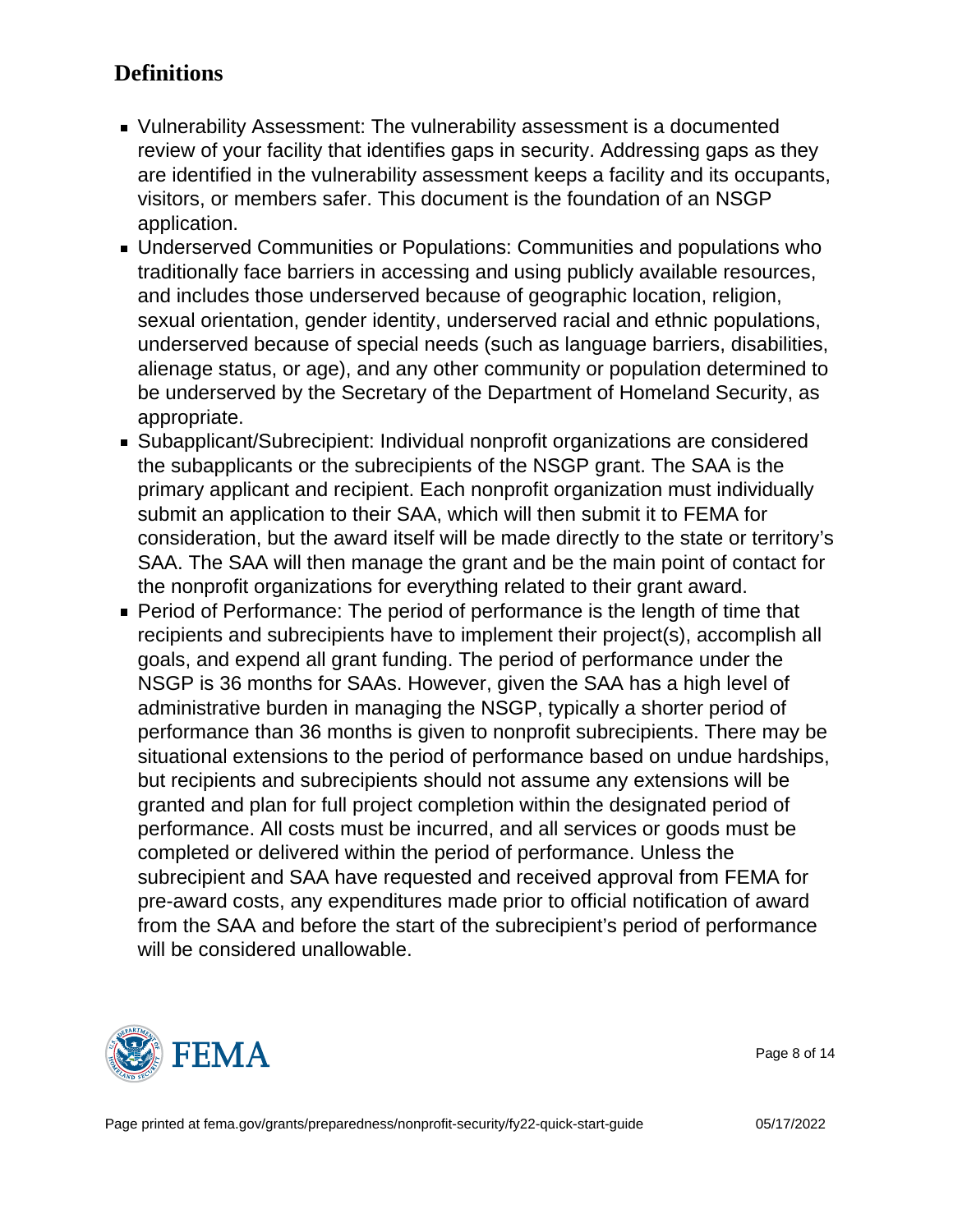# **Definitions**

- Vulnerability Assessment: The vulnerability assessment is a documented review of your facility that identifies gaps in security. Addressing gaps as they are identified in the vulnerability assessment keeps a facility and its occupants, visitors, or members safer. This document is the foundation of an NSGP application.
- Underserved Communities or Populations: Communities and populations who traditionally face barriers in accessing and using publicly available resources, and includes those underserved because of geographic location, religion, sexual orientation, gender identity, underserved racial and ethnic populations, underserved because of special needs (such as language barriers, disabilities, alienage status, or age), and any other community or population determined to be underserved by the Secretary of the Department of Homeland Security, as appropriate.
- Subapplicant/Subrecipient: Individual nonprofit organizations are considered the subapplicants or the subrecipients of the NSGP grant. The SAA is the primary applicant and recipient. Each nonprofit organization must individually submit an application to their SAA, which will then submit it to FEMA for consideration, but the award itself will be made directly to the state or territory's SAA. The SAA will then manage the grant and be the main point of contact for the nonprofit organizations for everything related to their grant award.
- **Period of Performance: The period of performance is the length of time that** recipients and subrecipients have to implement their project(s), accomplish all goals, and expend all grant funding. The period of performance under the NSGP is 36 months for SAAs. However, given the SAA has a high level of administrative burden in managing the NSGP, typically a shorter period of performance than 36 months is given to nonprofit subrecipients. There may be situational extensions to the period of performance based on undue hardships, but recipients and subrecipients should not assume any extensions will be granted and plan for full project completion within the designated period of performance. All costs must be incurred, and all services or goods must be completed or delivered within the period of performance. Unless the subrecipient and SAA have requested and received approval from FEMA for pre-award costs, any expenditures made prior to official notification of award from the SAA and before the start of the subrecipient's period of performance will be considered unallowable.



Page 8 of 14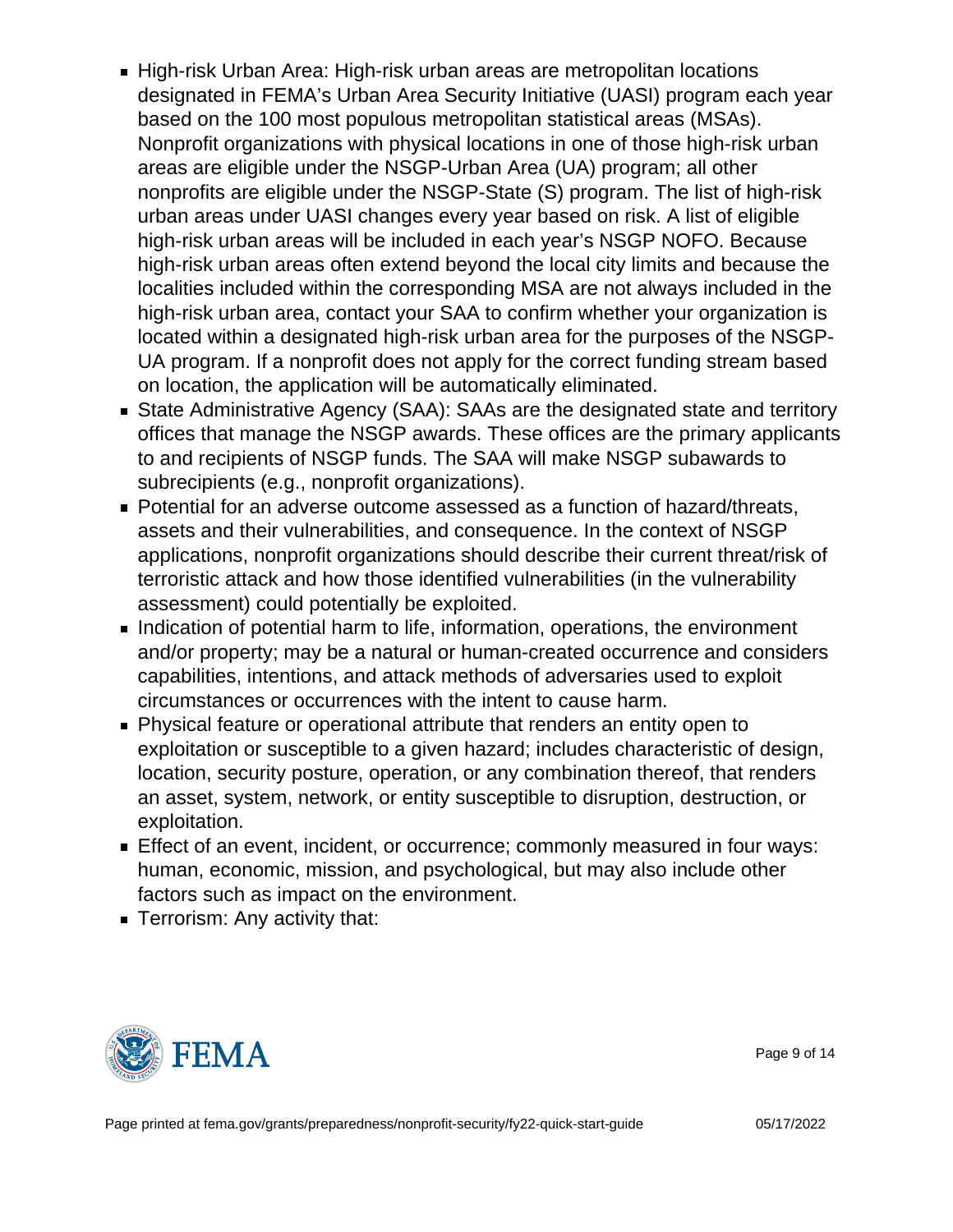- High-risk Urban Area: High-risk urban areas are metropolitan locations designated in FEMA's Urban Area Security Initiative (UASI) program each year based on the 100 most populous metropolitan statistical areas (MSAs). Nonprofit organizations with physical locations in one of those high-risk urban areas are eligible under the NSGP-Urban Area (UA) program; all other nonprofits are eligible under the NSGP-State (S) program. The list of high-risk urban areas under UASI changes every year based on risk. A list of eligible high-risk urban areas will be included in each year's NSGP NOFO. Because high-risk urban areas often extend beyond the local city limits and because the localities included within the corresponding MSA are not always included in the high-risk urban area, contact your SAA to confirm whether your organization is located within a designated high-risk urban area for the purposes of the NSGP-UA program. If a nonprofit does not apply for the correct funding stream based on location, the application will be automatically eliminated.
- State Administrative Agency (SAA): SAAs are the designated state and territory offices that manage the NSGP awards. These offices are the primary applicants to and recipients of NSGP funds. The SAA will make NSGP subawards to subrecipients (e.g., nonprofit organizations).
- Potential for an adverse outcome assessed as a function of hazard/threats, assets and their vulnerabilities, and consequence. In the context of NSGP applications, nonprofit organizations should describe their current threat/risk of terroristic attack and how those identified vulnerabilities (in the vulnerability assessment) could potentially be exploited.
- Indication of potential harm to life, information, operations, the environment and/or property; may be a natural or human-created occurrence and considers capabilities, intentions, and attack methods of adversaries used to exploit circumstances or occurrences with the intent to cause harm.
- Physical feature or operational attribute that renders an entity open to exploitation or susceptible to a given hazard; includes characteristic of design, location, security posture, operation, or any combination thereof, that renders an asset, system, network, or entity susceptible to disruption, destruction, or exploitation.
- Effect of an event, incident, or occurrence; commonly measured in four ways: human, economic, mission, and psychological, but may also include other factors such as impact on the environment.
- **Terrorism: Any activity that:**



Page 9 of 14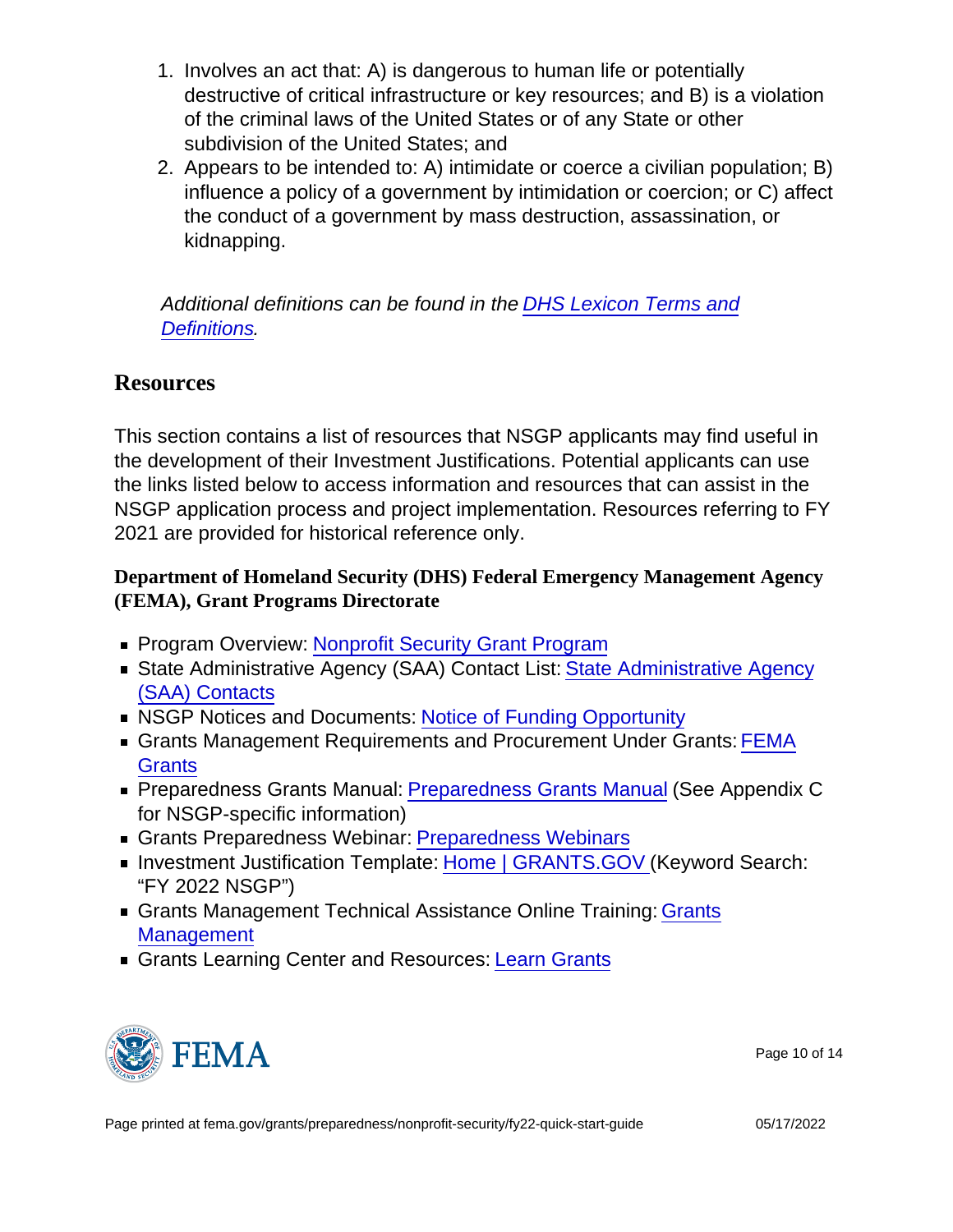- 1. Involves an act that: A) is dangerous to human life or potentially destructive of critical infrastructure or key resources; and B) is a violation of the criminal laws of the United States or of any State or other subdivision of the United States; and
- 2. Appears to be intended to: A) intimidate or coerce a civilian population; B) influence a policy of a government by intimidation or coercion; or C) affect the conduct of a government by mass destruction, assassination, or kidnapping.

Additional definitions can be found in the [DHS Lexicon Terms and](https://www.dhs.gov/sites/default/files/publications/18_0116_MGMT_DHS-Lexicon.pdf) [Definitions](https://www.dhs.gov/sites/default/files/publications/18_0116_MGMT_DHS-Lexicon.pdf).

# Resources

This section contains a list of resources that NSGP applicants may find useful in the development of their Investment Justifications. Potential applicants can use the links listed below to access information and resources that can assist in the NSGP application process and project implementation. Resources referring to FY 2021 are provided for historical reference only.

Department of Homeland Security (DHS) Federal Emergency Management Agency (FEMA), Grant Programs Directorate

- **Program Overview: [Nonprofit Security Grant Program](https://www.fema.gov/grants/preparedness/nonprofit-security)**
- **State Administrative Agency (SAA) Contact List: [State Administrative Agency](https://www.fema.gov/grants/preparedness/state-administrative-agency-contacts?id=6363)** [\(SAA\) Contacts](https://www.fema.gov/grants/preparedness/state-administrative-agency-contacts?id=6363)
- **NSGP Notices and Documents: [Notice of Funding Opportunity](https://www.fema.gov/media-collection/nonprofit-security-grant-program-notices-funding-opportunity)**
- Grants Management Requirements and Procurement Under Grants: [FEMA](https://www.fema.gov/grants) **[Grants](https://www.fema.gov/grants)**
- Preparedness Grants Manual: [Preparedness Grants Manual](https://www.fema.gov/grants/preparedness/manual) (See Appendix C for NSGP-specific information)
- Grants Preparedness Webinar: [Preparedness Webinars](https://www.fema.gov/emergency-managers/individuals-communities/preparedness-webinars)
- **Investment Justification Template: [Home | GRANTS.GOV \(](https://www.grants.gov/)Keyword Search:** "FY 2022 NSGP")
- Grants Management Technical Assistance Online Training: [Grants](https://training.fema.gov/grantsmanagement/) **[Management](https://training.fema.gov/grantsmanagement/)**
- Grants Learning Center and Resources: [Learn Grants](https://www.grants.gov/web/grants/learn-grants.html)



Page 10 of 14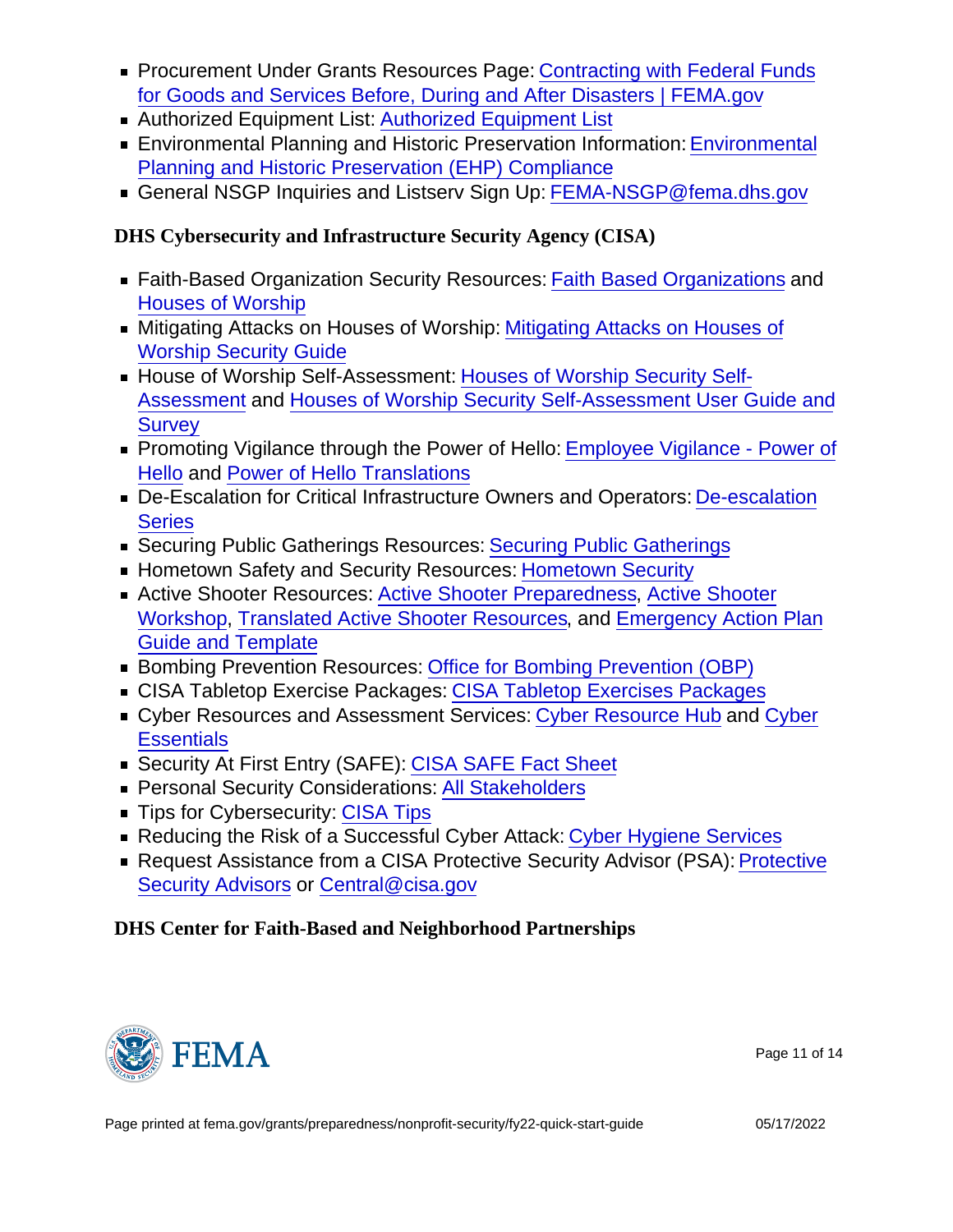- Procurement Under Grants Resources Page: [Contracting with Federal Funds](https://www.fema.gov/grants/procurement) [for Goods and Services Before, During and After Disasters | FEMA.gov](https://www.fema.gov/grants/procurement)
- **Authorized Equipment List: [Authorized Equipment List](https://www.fema.gov/grants/guidance-tools/authorized-equipment-list)**
- **Environmental Planning and Historic Preservation Information: [Environmental](https://www.fema.gov/grants/preparedness/preparedness-grants-ehp-compliance)** [Planning and Historic Preservation \(EHP\) Compliance](https://www.fema.gov/grants/preparedness/preparedness-grants-ehp-compliance)
- General NSGP Inquiries and Listserv Sign Up: [FEMA-NSGP@fema.dhs.gov](mailto:FEMA-NSGP@fema.dhs.gov)

DHS Cybersecurity and Infrastructure Security Agency (CISA)

- Faith-Based Organization Security Resources: [Faith Based Organizations](https://www.cisa.gov/faith-based-organizations-houses-worship) and [Houses of Worship](https://www.cisa.gov/houses-worship)
- ■ [Mitigating Attacks on Houses of](https://www.cisa.gov/mitigating-attacks-houses-worship-security-guide) Worship: Mitigating Attacks on Houses of [Worship Security Guide](https://www.cisa.gov/mitigating-attacks-houses-worship-security-guide)
- House of Worship Self-Assessment: [Houses of Worship Security Self-](https://www.cisa.gov/houses-of-worship)[Assessment](https://www.cisa.gov/houses-of-worship) and [Houses of Worship Security Self-Assessment User Guide and](https://www.cisa.gov/houses-worship-security-self-assessment) **[Survey](https://www.cisa.gov/houses-worship-security-self-assessment)**
- **Promoting Vigilance through the Power of Hello: [Employee Vigilance Power of](https://www.cisa.gov/employee-vigilance-power-hello)** [Hello](https://www.cisa.gov/employee-vigilance-power-hello) and [Power of Hello Translations](https://www.cisa.gov/power-hello-translations)
- De-Escalation for Critical Infrastructure Owners and Operators: [De-escalation](https://www.cisa.gov/de-escalation-series) **[Series](https://www.cisa.gov/de-escalation-series)**
- ■ [Securing Public Gatherings](https://www.cisa.gov/securing-public-gatherings) Resources: Securing Public Gatherings
- **Hometown Safety and Security Resources: [Hometown Security](https://www.cisa.gov/hometown-security)**
- Active Shooter Resources: [Active Shooter Preparedness,](https://www.cisa.gov/active-shooter-preparedness) [Active Shooter](https://www.cisa.gov/active-shooter-workshop-participant) [Workshop,](https://www.cisa.gov/active-shooter-workshop-participant) [Translated Active Shooter Resources](https://www.cisa.gov/translated-active-shooter-resources), and [Emergency Action Plan](https://www.cisa.gov/publication/active-shooter-emergency-action-plan-guide) [Guide and Template](https://www.cisa.gov/publication/active-shooter-emergency-action-plan-guide)
- **Bombing Prevention Resources: [Office for Bombing Prevention \(OBP\)](https://www.cisa.gov/office-bombing-prevention-obp)**
- CISA Tabletop Exercise Packages: [CISA Tabletop Exercises Packages](https://www.cisa.gov/cisa-tabletop-exercises-packages)
- Cyber Resources and Assessment Services: [Cyber Resource Hub](https://www.cisa.gov/cyber-resource-hub) and [Cyber](https://www.cisa.gov/cyber-essentials) **[Essentials](https://www.cisa.gov/cyber-essentials)**
- **Security At First Entry (SAFE): [CISA SAFE Fact Sheet](https://www.cisa.gov/sites/default/files/publications/CISA SAFE Fact Sheet.pdf)**
- **Personal Security Considerations: [All Stakeholders](https://www.cisa.gov/all-stakeholders)**
- Tips for Cybersecurity: [CISA Tips](https://www.cisa.gov/tips)
- Reducing the Risk of a Successful Cyber Attack: [Cyber Hygiene Services](https://www.cisa.gov/cyber-hygiene-services)
- Request Assistance from a CISA [Protective](https://www.cisa.gov/protective-security-advisors) Security Advisor (PSA): Protective [Security Advisors](https://www.cisa.gov/protective-security-advisors) or [Central@cisa.gov](mailto:Central@cisa.gov)

DHS Center for Faith-Based and Neighborhood Partnerships



Page 11 of 14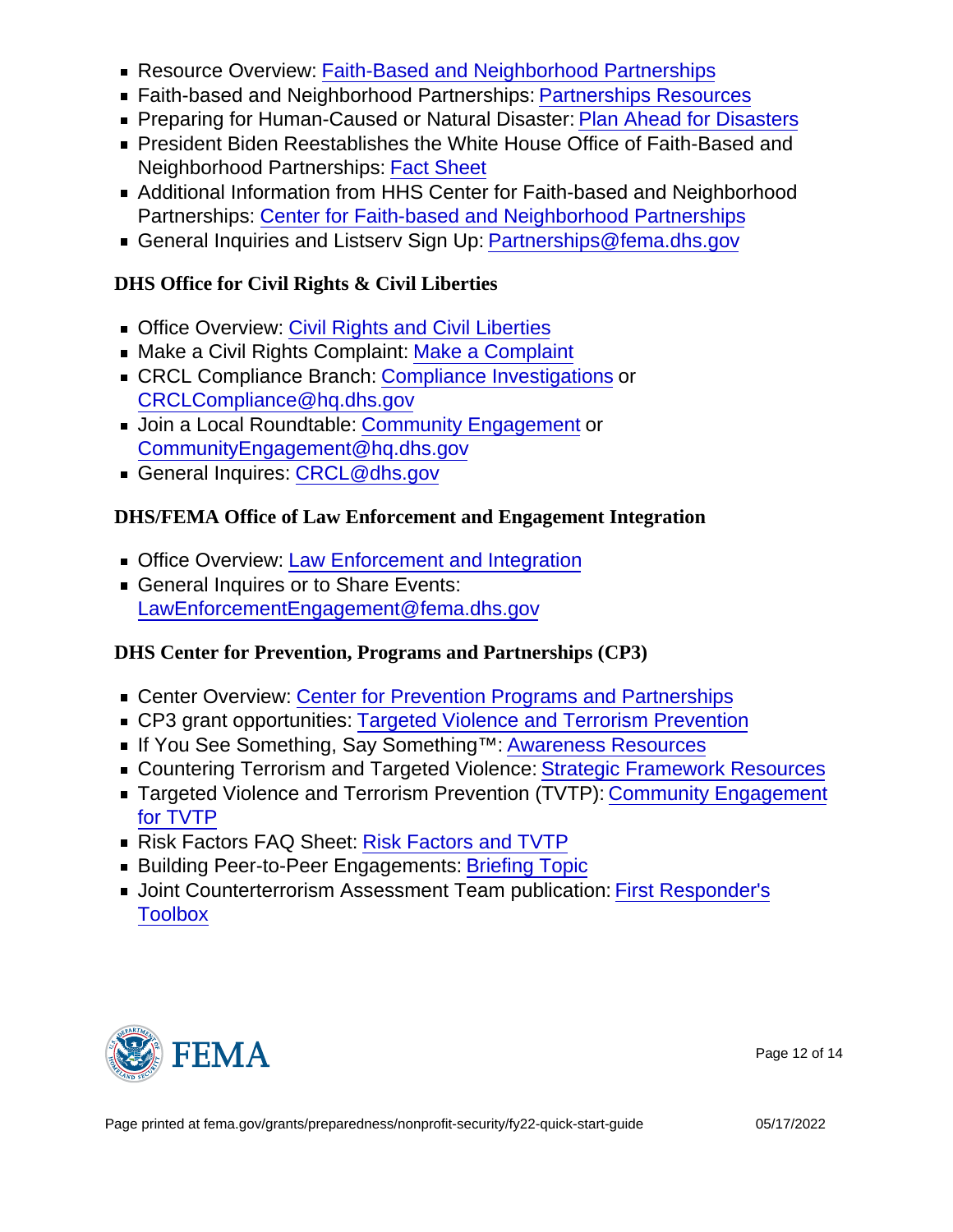- Resource Overview: [Faith-Based and Neighborhood Partnerships](https://www.dhs.gov/faith)
- Faith-based and Neighborhood Partnerships: [Partnerships Resources](https://www.fema.gov/emergency-managers/individuals-communities/faith)
- **Preparing for Human-Caused or Natural Disaster: [Plan Ahead for Disasters](https://www.ready.gov/)**
- President Biden Reestablishes the White House Office of Faith-Based and Neighborhood Partnerships: [Fact Sheet](https://www.whitehouse.gov/briefing-room/statements-releases/2021/02/14/fact-sheet-president-biden-reestablishes-the-white-house-office-of-faith-based-and-neighborhood-partnerships/)
- Additional Information from HHS Center for Faith-based and Neighborhood Partnerships: [Center for Faith-based and Neighborhood Partnerships](https://www.hhs.gov/about/agencies/iea/partnerships/index.html)
- General Inquiries and Listsery Sign Up: [Partnerships@fema.dhs.gov](mailto:Partnerships@fema.dhs.gov)

DHS Office for Civil Rights & Civil Liberties

- **Designal [Civil Rights and Civil Liberties](https://www.dhs.gov/topic/civil-rights-and-civil-liberties)**
- Make a Civil Rights Complaint: [Make a Complaint](https://www.dhs.gov/file-civil-rights-complaint)
- **EXECL Compliance Branch: [Compliance Investigations](https://www.dhs.gov/compliance-branch) or** [CRCLCompliance@hq.dhs.gov](mailto:CRCLCompliance@hq.dhs.gov)
- **Join a Local Roundtable: [Community Engagement](https://www.dhs.gov/community-engagement) or** [CommunityEngagement@hq.dhs.gov](mailto:CommunityEngagement@hq.dhs.gov)
- General Inquires: [CRCL@dhs.gov](mailto:CRCL@dhs.gov)

DHS/FEMA Office of Law Enforcement and Engagement Integration

- **Office Overview: [Law Enforcement and Integration](https://www.fema.gov/about/offices/law-enforcement)**
- General Inquires or to Share Events: [LawEnforcementEngagement@fema.dhs.gov](mailto:LawEnforcementEngagement@fema.dhs.gov)

DHS Center for Prevention, Programs and Partnerships (CP3)

- Center Overview: [Center for Prevention Programs and Partnerships](https://www.dhs.gov/CP3)
- CP3 grant opportunities: [Targeted Violence and Terrorism Prevention](https://www.dhs.gov/tvtpgrants)
- If You See Something, Say Something™: [Awareness Resources](https://www.dhs.gov/see-something-say something)
- Countering Terrorism and Targeted Violence: [Strategic Framework Resources](https://www.dhs.gov/publication/dhs-strategic-framework-countering-terrorism-and-targeted-violence)
- Targeted Violence and Terrorism Prevention (TVTP): [Community Engagement](https://www.dhs.gov/publication/community-engagement-targeted-violence-and-terrorism-prevention-tvtp?topic=preventing-terrorism) [for TVTP](https://www.dhs.gov/publication/community-engagement-targeted-violence-and-terrorism-prevention-tvtp?topic=preventing-terrorism)
- Risk Factors FAQ Sheet: [Risk Factors and TVTP](https://www.dhs.gov/publication/risk-factors-and-targeted-violence-and-terrorism-prevention?topic=preventing-terrorism)
- **Building Peer-to-Peer Engagements: [Briefing Topic](https://www.dhs.gov/publication/building-peer-peer-engagements?topic=preventing-terrorism)**
- **Joint Counterterrorism Assessment Team publication: [First Responder's](https://www.dni.gov/files/NCTC/documents/jcat/firstresponderstoolbox/First_Responders_Toolbox_-_Religious_Facilities_and_Adherents.pdf)** [Toolbox](https://www.dni.gov/files/NCTC/documents/jcat/firstresponderstoolbox/First_Responders_Toolbox_-_Religious_Facilities_and_Adherents.pdf)



Page 12 of 14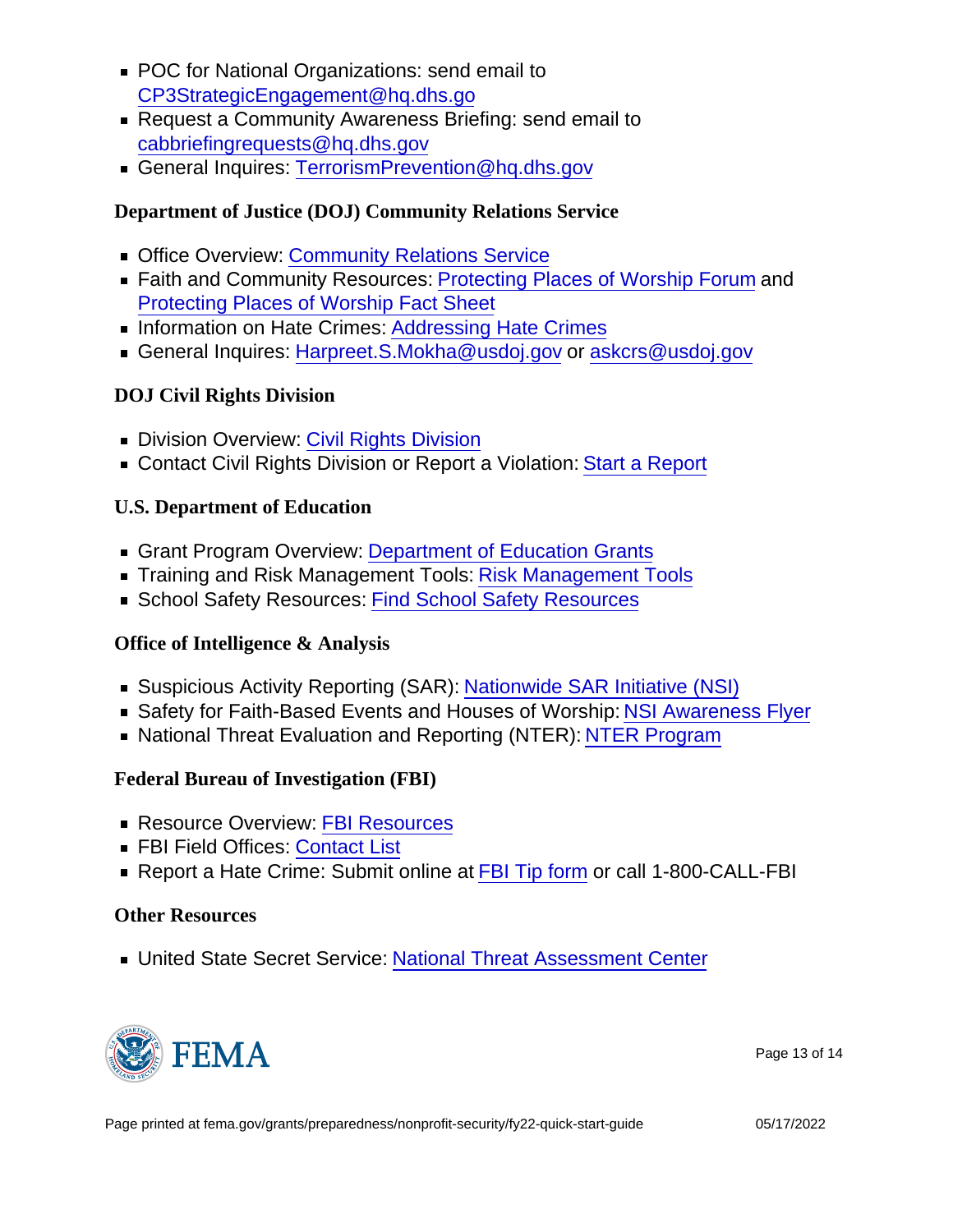- POC for National Organizations: send email to [CP3StrategicEngagement@hq.dhs.go](mailto:CP3StrategicEngagement@hq.dhs.go)
- Request a Community Awareness Briefing: send email to [cabbriefingrequests@hq.dhs.gov](mailto:cabbriefingrequests@hq.dhs.gov)
- General Inquires: [TerrorismPrevention@hq.dhs.gov](mailto:TerrorismPrevention@hq.dhs.gov)

Department of Justice (DOJ) Community Relations Service

- **Deal** Office Overview: [Community Relations Service](https://www.justice.gov/crs)
- Faith and Community Resources: [Protecting Places of Worship Forum](https://www.justice.gov/crs/our-work/facilitation/protecting-places-of-worship) and [Protecting Places of Worship Fact Sheet](https://www.justice.gov/file/1376571/download)
- **Information on Hate Crimes: [Addressing Hate Crimes](https://www.justice.gov/hatecrimes)**
- General Inquires: [Harpreet.S.Mokha@usdoj.gov](mailto:Harpreet.S.Mokha@usdoj.gov) or [askcrs@usdoj.gov](mailto:askcrs@usdoj.gov)

DOJ Civil Rights Division

- Division Overview: [Civil Rights Division](https://www.justice.gov/crt)
- Contact Civil Rights Division or Report a Violation: [Start a Report](https://civilrights.justice.gov/)

U.S. Department of Education

- Grant Program Overview: [Department of Education Grants](https://www2.ed.gov/fund/grants-apply.html?src=ft)
- **Training and [Risk Management Tools](https://www2.ed.gov/fund/grant/about/risk-management-tools.html?src=grants-page): Risk Management Tools**
- **School Safety Resources: [Find School Safety Resources](https://www.schoolsafety.gov/find-school-safety-resources)**

Office of Intelligence & Analysis

- Suspicious Activity Reporting (SAR): [Nationwide SAR Initiative \(NSI\)](https://www.dhs.gov/nationwide-sar-initiative-nsi)
- Safety for Faith-Based Events and Houses of Worship: [NSI Awareness Flyer](https://www.dhs.gov/publication/safety-faith-based-events-and-houses-worship-nsi-awareness-flyer)
- National Threat Evaluation and Reporting (NTER): [NTER Program](https://www.dhs.gov/national-threat-evaluation-and-reporting-program)

Federal Bureau of Investigation (FBI)

- **Resource Overview: [FBI Resources](https://www.fbi.gov/resources)**
- **FBI Field Offices: [Contact List](https://www.fbi.gov/contact-us/field-offices)**
- Report a Hate Crime: Submit online at [FBI Tip form](https://tips.fbi.gov/) or call 1-800-CALL-FBI

## Other Resources

■ United State Secret Service: [National Threat Assessment Center](https://www.secretservice.gov/protection/ntac)



Page 13 of 14